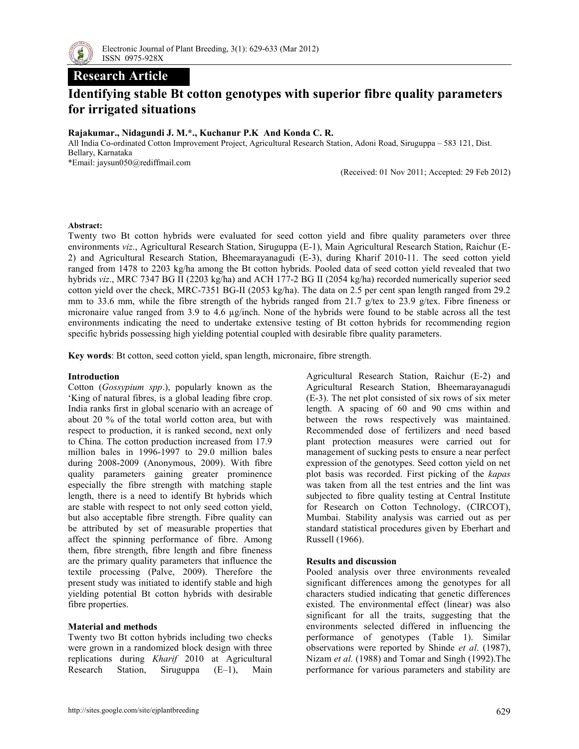

## **Research Article**

# **Identifying stable Bt cotton genotypes with superior fibre quality parameters for irrigated situations**

### **Rajakumar., Nidagundi J. M.\*., Kuchanur P.K And Konda C. R.**

All India Co-ordinated Cotton Improvement Project, Agricultural Research Station, Adoni Road, Siruguppa – 583 121, Dist. Bellary, Karnataka \*Email: jaysun050@rediffmail.com

(Received: 01 Nov 2011; Accepted: 29 Feb 2012)

#### **Abstract:**

Twenty two Bt cotton hybrids were evaluated for seed cotton yield and fibre quality parameters over three environments *viz*., Agricultural Research Station, Siruguppa (E-1), Main Agricultural Research Station, Raichur (E-2) and Agricultural Research Station, Bheemarayanagudi (E-3), during Kharif 2010-11. The seed cotton yield ranged from 1478 to 2203 kg/ha among the Bt cotton hybrids. Pooled data of seed cotton yield revealed that two hybrids *viz*., MRC 7347 BG II (2203 kg/ha) and ACH 177-2 BG II (2054 kg/ha) recorded numerically superior seed cotton yield over the check, MRC-7351 BG-II (2053 kg/ha). The data on 2.5 per cent span length ranged from 29.2 mm to 33.6 mm, while the fibre strength of the hybrids ranged from 21.7 g/tex to 23.9 g/tex. Fibre fineness or micronaire value ranged from 3.9 to 4.6 µg/inch. None of the hybrids were found to be stable across all the test environments indicating the need to undertake extensive testing of Bt cotton hybrids for recommending region specific hybrids possessing high yielding potential coupled with desirable fibre quality parameters.

**Key words**: Bt cotton, seed cotton yield, span length, micronaire, fibre strength.

#### **Introduction**

Cotton (*Gossypium spp*.), popularly known as the 'King of natural fibres, is a global leading fibre crop. India ranks first in global scenario with an acreage of about 20 % of the total world cotton area, but with respect to production, it is ranked second, next only to China. The cotton production increased from 17.9 million bales in 1996-1997 to 29.0 million bales during 2008-2009 (Anonymous, 2009). With fibre quality parameters gaining greater prominence especially the fibre strength with matching staple length, there is a need to identify Bt hybrids which are stable with respect to not only seed cotton yield, but also acceptable fibre strength. Fibre quality can be attributed by set of measurable properties that affect the spinning performance of fibre. Among them, fibre strength, fibre length and fibre fineness are the primary quality parameters that influence the textile processing (Palve, 2009). Therefore the present study was initiated to identify stable and high yielding potential Bt cotton hybrids with desirable fibre properties.

#### **Material and methods**

Twenty two Bt cotton hybrids including two checks were grown in a randomized block design with three replications during *Kharif* 2010 at Agricultural Research Station, Siruguppa (E–1), Main

Agricultural Research Station, Raichur (E-2) and Agricultural Research Station, Bheemarayanagudi (E-3). The net plot consisted of six rows of six meter length. A spacing of 60 and 90 cms within and between the rows respectively was maintained. Recommended dose of fertilizers and need based plant protection measures were carried out for management of sucking pests to ensure a near perfect expression of the genotypes. Seed cotton yield on net plot basis was recorded. First picking of the *kapas*  was taken from all the test entries and the lint was subjected to fibre quality testing at Central Institute for Research on Cotton Technology, (CIRCOT), Mumbai. Stability analysis was carried out as per standard statistical procedures given by Eberhart and Russell (1966).

#### **Results and discussion**

Pooled analysis over three environments revealed significant differences among the genotypes for all characters studied indicating that genetic differences existed. The environmental effect (linear) was also significant for all the traits, suggesting that the environments selected differed in influencing the performance of genotypes (Table 1). Similar observations were reported by Shinde *et al*. (1987), Nizam *et al.* (1988) and Tomar and Singh (1992).The performance for various parameters and stability are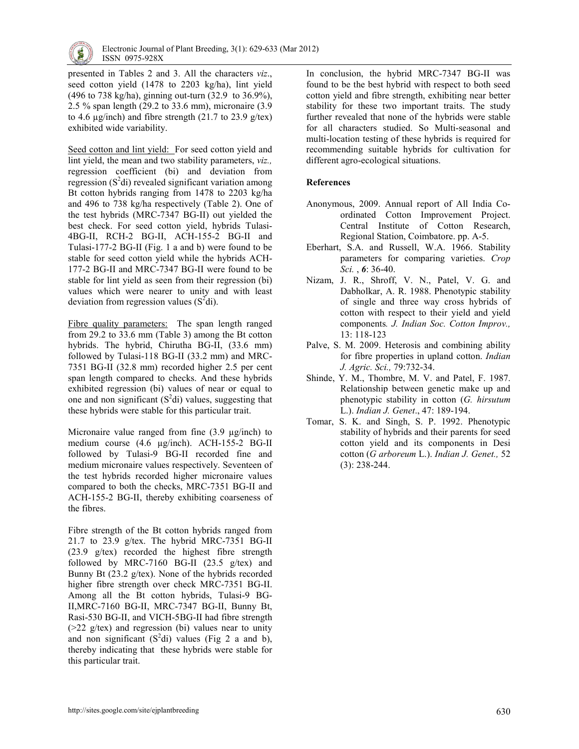

presented in Tables 2 and 3. All the characters *viz*., seed cotton yield (1478 to 2203 kg/ha), lint yield (496 to 738 kg/ha), ginning out-turn (32.9 to 36.9%), 2.5 % span length (29.2 to 33.6 mm), micronaire (3.9 to 4.6  $\mu$ g/inch) and fibre strength (21.7 to 23.9 g/tex) exhibited wide variability.

Seed cotton and lint yield: For seed cotton yield and lint yield, the mean and two stability parameters, *viz.,* regression coefficient (bi) and deviation from regression  $(S^2d)$  revealed significant variation among Bt cotton hybrids ranging from 1478 to 2203 kg/ha and 496 to 738 kg/ha respectively (Table 2). One of the test hybrids (MRC-7347 BG-II) out yielded the best check. For seed cotton yield, hybrids Tulasi-4BG-II, RCH-2 BG-II, ACH-155-2 BG-II and Tulasi-177-2 BG-II (Fig. 1 a and b) were found to be stable for seed cotton yield while the hybrids ACH-177-2 BG-II and MRC-7347 BG-II were found to be stable for lint yield as seen from their regression (bi) values which were nearer to unity and with least deviation from regression values  $(S^2 di)$ .

Fibre quality parameters:The span length ranged from 29.2 to 33.6 mm (Table 3) among the Bt cotton hybrids. The hybrid, Chirutha BG-II, (33.6 mm) followed by Tulasi-118 BG-II (33.2 mm) and MRC-7351 BG-II (32.8 mm) recorded higher 2.5 per cent span length compared to checks. And these hybrids exhibited regression (bi) values of near or equal to one and non significant  $(S^2di)$  values, suggesting that these hybrids were stable for this particular trait.

Micronaire value ranged from fine (3.9 µg/inch) to medium course (4.6 µg/inch). ACH-155-2 BG-II followed by Tulasi-9 BG-II recorded fine and medium micronaire values respectively. Seventeen of the test hybrids recorded higher micronaire values compared to both the checks, MRC-7351 BG-II and ACH-155-2 BG-II, thereby exhibiting coarseness of the fibres.

Fibre strength of the Bt cotton hybrids ranged from 21.7 to 23.9 g/tex. The hybrid MRC-7351 BG-II (23.9 g/tex) recorded the highest fibre strength followed by MRC-7160 BG-II  $(23.5 \text{ g/tex})$  and Bunny Bt (23.2 g/tex). None of the hybrids recorded higher fibre strength over check MRC-7351 BG-II. Among all the Bt cotton hybrids, Tulasi-9 BG-II,MRC-7160 BG-II, MRC-7347 BG-II, Bunny Bt, Rasi-530 BG-II, and VICH-5BG-II had fibre strength (>22 g/tex) and regression (bi) values near to unity and non significant  $(S^2di)$  values (Fig 2 a and b), thereby indicating that these hybrids were stable for this particular trait.

In conclusion, the hybrid MRC-7347 BG-II was found to be the best hybrid with respect to both seed cotton yield and fibre strength, exhibiting near better stability for these two important traits. The study further revealed that none of the hybrids were stable for all characters studied. So Multi-seasonal and multi-location testing of these hybrids is required for recommending suitable hybrids for cultivation for different agro-ecological situations.

### **References**

- Anonymous, 2009. Annual report of All India Coordinated Cotton Improvement Project. Central Institute of Cotton Research, Regional Station, Coimbatore. pp. A-5.
- Eberhart, S.A. and Russell, W.A. 1966. Stability parameters for comparing varieties. *Crop Sci.* , *6*: 36-40.
- Nizam, J. R., Shroff, V. N., Patel, V. G. and Dabholkar, A. R. 1988. Phenotypic stability of single and three way cross hybrids of cotton with respect to their yield and yield components*. J. Indian Soc. Cotton Improv.,*  13: 118-123
- Palve, S. M. 2009. Heterosis and combining ability for fibre properties in upland cotton. *Indian J. Agric. Sci.,* 79:732-34.
- Shinde, Y. M., Thombre, M. V. and Patel, F. 1987. Relationship between genetic make up and phenotypic stability in cotton (*G. hirsutum* L.). *Indian J. Genet*., 47: 189-194.
- Tomar, S. K. and Singh, S. P. 1992. Phenotypic stability of hybrids and their parents for seed cotton yield and its components in Desi cotton (*G arboreum* L.). *Indian J. Genet.,* 52 (3): 238-244.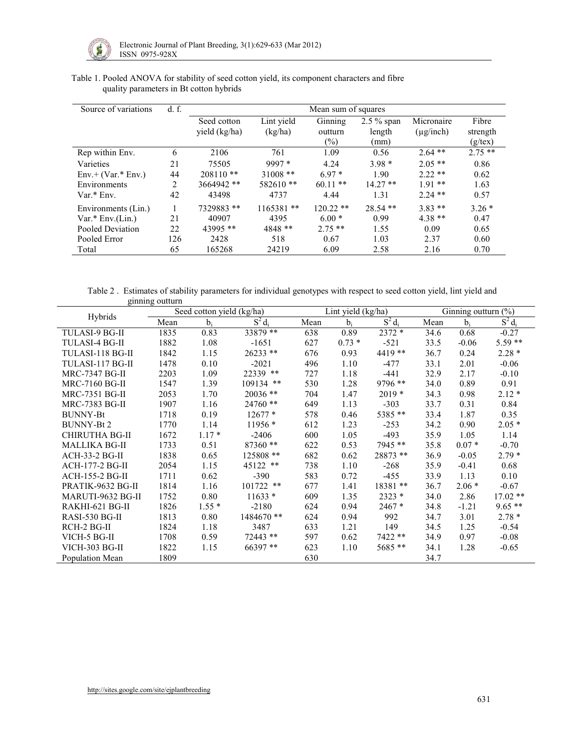

| Source of variations | d. f. | Mean sum of squares |             |             |            |                |               |  |
|----------------------|-------|---------------------|-------------|-------------|------------|----------------|---------------|--|
|                      |       | Seed cotton         | Lint yield  | Ginning     |            | Micronaire     | Fibre         |  |
|                      |       | yield (kg/ha)       | (kg/ha)     | outturn     | length     | $(\mu g/inch)$ | strength      |  |
|                      |       |                     |             | $(\%)$      | (mm)       |                | $(g$ /tex $)$ |  |
| Rep within Env.      | 6     | 2106                | 761         | 1.09        | 0.56       | $2.64**$       | $2.75**$      |  |
| Varieties            | 21    | 75505               | $9997*$     | 4.24        | $3.98*$    | $2.05**$       | 0.86          |  |
| $Env.+(Var.*Env.)$   | 44    | $208110**$          | $31008$ **  | $6.97*$     | 1.90       | $2.22**$       | 0.62          |  |
| Environments         | 2     | 3664942 **          | 582610**    | $60.11**$   | $14.27**$  | $191**$        | 1.63          |  |
| $Var.*$ Env.         | 42    | 43498               | 4737        | 4.44        | 1.31       | $2.24$ **      | 0.57          |  |
| Environments (Lin.)  |       | 7329883 **          | $1165381**$ | $120.22$ ** | $28.54$ ** | $3.83**$       | $3.26*$       |  |
| $Var.* Env.(Lin.)$   | 21    | 40907               | 4395        | $6.00*$     | 0.99       | $4.38**$       | 0.47          |  |
| Pooled Deviation     | 22    | 43995 **            | 4848 **     | $2.75**$    | 1.55       | 0.09           | 0.65          |  |
| Pooled Error         | 126   | 2428                | 518         | 0.67        | 1.03       | 2.37           | 0.60          |  |
| Total                | 65    | 165268              | 24219       | 6.09        | 2.58       | 2.16           | 0.70          |  |

Table 1. Pooled ANOVA for stability of seed cotton yield, its component characters and fibre quality parameters in Bt cotton hybrids

Table 2 . Estimates of stability parameters for individual genotypes with respect to seed cotton yield, lint yield and ginning outturn

| Hybrids                |      | Seed cotton yield (kg/ha) |             |      | Lint yield (kg/ha) |           | Ginning outturn $(\%)$ |         |           |
|------------------------|------|---------------------------|-------------|------|--------------------|-----------|------------------------|---------|-----------|
|                        | Mean | $b_i$                     | $S^2 d_i$   | Mean | $b_i$              | $S^2d_i$  | Mean                   | $b_i$   | $S^2 d_i$ |
| TULASI-9 BG-II         | 1835 | 0.83                      | 33879 **    | 638  | 0.89               | $2372*$   | 34.6                   | 0.68    | $-0.27$   |
| <b>TULASI-4 BG-II</b>  | 1882 | 1.08                      | $-1651$     | 627  | $0.73*$            | $-521$    | 33.5                   | $-0.06$ | 5.59 **   |
| TULASI-118 BG-II       | 1842 | 1.15                      | 26233 **    | 676  | 0.93               | 4419 **   | 36.7                   | 0.24    | $2.28*$   |
| TULASI-117 BG-II       | 1478 | 0.10                      | $-2021$     | 496  | 1.10               | $-477$    | 33.1                   | 2.01    | $-0.06$   |
| <b>MRC-7347 BG-II</b>  | 2203 | 1.09                      | 22339 **    | 727  | 1.18               | $-441$    | 32.9                   | 2.17    | $-0.10$   |
| <b>MRC-7160 BG-II</b>  | 1547 | 1.39                      | $109134$ ** | 530  | 1.28               | $9796$ ** | 34.0                   | 0.89    | 0.91      |
| <b>MRC-7351 BG-II</b>  | 2053 | 1.70                      | $20036$ **  | 704  | 1.47               | $2019*$   | 34.3                   | 0.98    | $2.12*$   |
| <b>MRC-7383 BG-II</b>  | 1907 | 1.16                      | 24760 **    | 649  | 1.13               | $-303$    | 33.7                   | 0.31    | 0.84      |
| <b>BUNNY-Bt</b>        | 1718 | 0.19                      | $12677*$    | 578  | 0.46               | 5385 **   | 33.4                   | 1.87    | 0.35      |
| <b>BUNNY-Bt2</b>       | 1770 | 1.14                      | $11956*$    | 612  | 1.23               | $-253$    | 34.2                   | 0.90    | $2.05*$   |
| CHIRUTHA BG-II         | 1672 | $1.17*$                   | $-2406$     | 600  | 1.05               | $-493$    | 35.9                   | 1.05    | 1.14      |
| <b>MALLIKA BG-II</b>   | 1733 | 0.51                      | 87360 **    | 622  | 0.53               | 7945 **   | 35.8                   | $0.07*$ | $-0.70$   |
| <b>ACH-33-2 BG-II</b>  | 1838 | 0.65                      | 125808 **   | 682  | 0.62               | 28873 **  | 36.9                   | $-0.05$ | $2.79*$   |
| <b>ACH-177-2 BG-II</b> | 2054 | 1.15                      | 45122 **    | 738  | 1.10               | $-268$    | 35.9                   | $-0.41$ | 0.68      |
| <b>ACH-155-2 BG-II</b> | 1711 | 0.62                      | $-390$      | 583  | 0.72               | $-455$    | 33.9                   | 1.13    | 0.10      |
| PRATIK-9632 BG-II      | 1814 | 1.16                      | $101722$ ** | 677  | 1.41               | 18381 **  | 36.7                   | $2.06*$ | $-0.67$   |
| MARUTI-9632 BG-II      | 1752 | 0.80                      | $11633*$    | 609  | 1.35               | 2323 *    | 34.0                   | 2.86    | $17.02**$ |
| RAKHI-621 BG-II        | 1826 | $1.55*$                   | $-2180$     | 624  | 0.94               | $2467*$   | 34.8                   | $-1.21$ | $9.65**$  |
| RASI-530 BG-II         | 1813 | 0.80                      | 1484670 **  | 624  | 0.94               | 992       | 34.7                   | 3.01    | $2.78*$   |
| RCH-2 BG-II            | 1824 | 1.18                      | 3487        | 633  | 1.21               | 149       | 34.5                   | 1.25    | $-0.54$   |
| VICH-5 BG-II           | 1708 | 0.59                      | 72443 **    | 597  | 0.62               | 7422 **   | 34.9                   | 0.97    | $-0.08$   |
| VICH-303 BG-II         | 1822 | 1.15                      | 66397 **    | 623  | 1.10               | 5685 **   | 34.1                   | 1.28    | $-0.65$   |
| Population Mean        | 1809 |                           |             | 630  |                    |           | 34.7                   |         |           |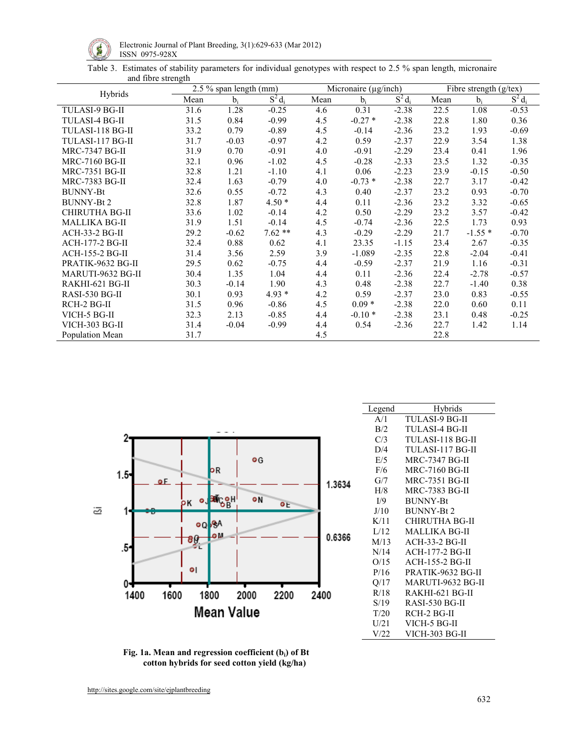

Electronic Journal of Plant Breeding, 3(1):629-633 (Mar 2012)  $\mathbb{S}$  ISSN 0975-928X

Table 3. Estimates of stability parameters for individual genotypes with respect to 2.5 % span length, micronaire and fibre strength

| Hybrids                | $2.5\%$ span length (mm) |         |           |      | Micronaire (µg/inch) |           | Fibre strength $(g$ /tex) |          |           |
|------------------------|--------------------------|---------|-----------|------|----------------------|-----------|---------------------------|----------|-----------|
|                        | Mean                     | $b_i$   | $S^2 d_i$ | Mean | $b_i$                | $S^2 d_i$ | Mean                      | $b_i$    | $S^2 d_i$ |
| <b>TULASI-9 BG-II</b>  | 31.6                     | 1.28    | $-0.25$   | 4.6  | 0.31                 | $-2.38$   | 22.5                      | 1.08     | $-0.53$   |
| TULASI-4 BG-II         | 31.5                     | 0.84    | $-0.99$   | 4.5  | $-0.27*$             | $-2.38$   | 22.8                      | 1.80     | 0.36      |
| TULASI-118 BG-II       | 33.2                     | 0.79    | $-0.89$   | 4.5  | $-0.14$              | $-2.36$   | 23.2                      | 1.93     | $-0.69$   |
| TULASI-117 BG-II       | 31.7                     | $-0.03$ | $-0.97$   | 4.2  | 0.59                 | $-2.37$   | 22.9                      | 3.54     | 1.38      |
| <b>MRC-7347 BG-II</b>  | 31.9                     | 0.70    | $-0.91$   | 4.0  | $-0.91$              | $-2.29$   | 23.4                      | 0.41     | 1.96      |
| <b>MRC-7160 BG-II</b>  | 32.1                     | 0.96    | $-1.02$   | 4.5  | $-0.28$              | $-2.33$   | 23.5                      | 1.32     | $-0.35$   |
| MRC-7351 BG-II         | 32.8                     | 1.21    | $-1.10$   | 4.1  | 0.06                 | $-2.23$   | 23.9                      | $-0.15$  | $-0.50$   |
| MRC-7383 BG-II         | 32.4                     | 1.63    | $-0.79$   | 4.0  | $-0.73*$             | $-2.38$   | 22.7                      | 3.17     | $-0.42$   |
| <b>BUNNY-Bt</b>        | 32.6                     | 0.55    | $-0.72$   | 4.3  | 0.40                 | $-2.37$   | 23.2                      | 0.93     | $-0.70$   |
| <b>BUNNY-Bt2</b>       | 32.8                     | 1.87    | $4.50*$   | 4.4  | 0.11                 | $-2.36$   | 23.2                      | 3.32     | $-0.65$   |
| CHIRUTHA BG-II         | 33.6                     | 1.02    | $-0.14$   | 4.2  | 0.50                 | $-2.29$   | 23.2                      | 3.57     | $-0.42$   |
| <b>MALLIKA BG-II</b>   | 31.9                     | 1.51    | $-0.14$   | 4.5  | $-0.74$              | $-2.36$   | 22.5                      | 1.73     | 0.93      |
| $ACH-33-2 BG-II$       | 29.2                     | $-0.62$ | $7.62**$  | 4.3  | $-0.29$              | $-2.29$   | 21.7                      | $-1.55*$ | $-0.70$   |
| <b>ACH-177-2 BG-II</b> | 32.4                     | 0.88    | 0.62      | 4.1  | 23.35                | $-1.15$   | 23.4                      | 2.67     | $-0.35$   |
| <b>ACH-155-2 BG-II</b> | 31.4                     | 3.56    | 2.59      | 3.9  | $-1.089$             | $-2.35$   | 22.8                      | $-2.04$  | $-0.41$   |
| PRATIK-9632 BG-II      | 29.5                     | 0.62    | $-0.75$   | 4.4  | $-0.59$              | $-2.37$   | 21.9                      | 1.16     | $-0.31$   |
| MARUTI-9632 BG-II      | 30.4                     | 1.35    | 1.04      | 4.4  | 0.11                 | $-2.36$   | 22.4                      | $-2.78$  | $-0.57$   |
| RAKHI-621 BG-II        | 30.3                     | $-0.14$ | 1.90      | 4.3  | 0.48                 | $-2.38$   | 22.7                      | $-1.40$  | 0.38      |
| RASI-530 BG-II         | 30.1                     | 0.93    | $4.93*$   | 4.2  | 0.59                 | $-2.37$   | 23.0                      | 0.83     | $-0.55$   |
| RCH-2 BG-II            | 31.5                     | 0.96    | $-0.86$   | 4.5  | $0.09*$              | $-2.38$   | 22.0                      | 0.60     | 0.11      |
| VICH-5 BG-II           | 32.3                     | 2.13    | $-0.85$   | 4.4  | $-0.10*$             | $-2.38$   | 23.1                      | 0.48     | $-0.25$   |
| <b>VICH-303 BG-II</b>  | 31.4                     | $-0.04$ | $-0.99$   | 4.4  | 0.54                 | $-2.36$   | 22.7                      | 1.42     | 1.14      |
| Population Mean        | 31.7                     |         |           | 4.5  |                      |           | 22.8                      |          |           |



| Legend | Hybrids                |
|--------|------------------------|
| A/1    | TULASI-9 BG-II         |
| B/2    | <b>TULASI-4 BG-II</b>  |
| C/3    | TULASI-118 BG-II       |
| D/4    | TULASI-117 BG-II       |
| E/5    | <b>MRC-7347 BG-II</b>  |
| F/6    | <b>MRC-7160 BG-II</b>  |
| G/7    | <b>MRC-7351 BG-II</b>  |
| H/8    | <b>MRC-7383 BG-II</b>  |
| I/9    | <b>BUNNY-Bt</b>        |
| J/10   | <b>BUNNY-Bt2</b>       |
| K/11   | CHIRUTHA BG-II         |
| L/12   | <b>MALLIKA BG-II</b>   |
| M/13   | <b>ACH-33-2 BG-II</b>  |
| N/14   | <b>ACH-177-2 BG-II</b> |
| O/15   | ACH-155-2 BG-II        |
| P/16   | PRATIK-9632 BG-II      |
| Q/17   | MARUTI-9632 BG-II      |
| R/18   | RAKHI-621 BG-II        |
| S/19   | RASI-530 BG-II         |
| T/20   | RCH-2 BG-II            |
| U/21   | VICH-5 BG-II           |
| V/22   | VICH-303 BG-II         |

 **Fig. 1a. Mean and regression coefficient (bi) of Bt cotton hybrids for seed cotton yield (kg/ha)**